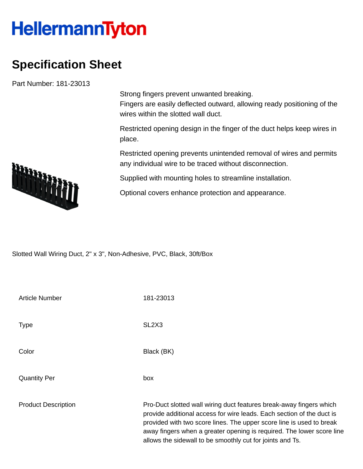## **HellermannTyton**

## **Specification Sheet**

Part Number: 181-23013

Strong fingers prevent unwanted breaking. Fingers are easily deflected outward, allowing ready positioning of the wires within the slotted wall duct.

Restricted opening design in the finger of the duct helps keep wires in place.

Restricted opening prevents unintended removal of wires and permits any individual wire to be traced without disconnection.

Supplied with mounting holes to streamline installation.

Optional covers enhance protection and appearance.

Slotted Wall Wiring Duct, 2" x 3", Non-Adhesive, PVC, Black, 30ft/Box

| <b>Article Number</b>      | 181-23013                                                                                                                                                                                                                                                                                                                                                  |
|----------------------------|------------------------------------------------------------------------------------------------------------------------------------------------------------------------------------------------------------------------------------------------------------------------------------------------------------------------------------------------------------|
| <b>Type</b>                | SL <sub>2</sub> X <sub>3</sub>                                                                                                                                                                                                                                                                                                                             |
| Color                      | Black (BK)                                                                                                                                                                                                                                                                                                                                                 |
| <b>Quantity Per</b>        | box                                                                                                                                                                                                                                                                                                                                                        |
| <b>Product Description</b> | Pro-Duct slotted wall wiring duct features break-away fingers which<br>provide additional access for wire leads. Each section of the duct is<br>provided with two score lines. The upper score line is used to break<br>away fingers when a greater opening is required. The lower score line<br>allows the sidewall to be smoothly cut for joints and Ts. |

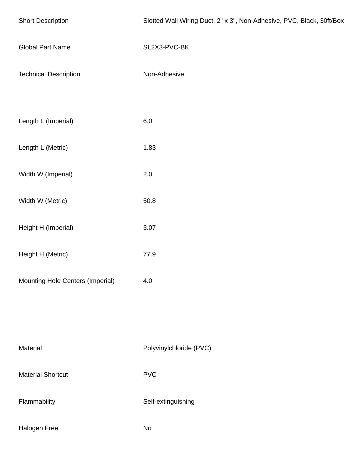| <b>Short Description</b>         | Slotted Wall Wiring Duct, 2" x 3", Non-Adhesive, PVC, Black, 30ft/Box |  |
|----------------------------------|-----------------------------------------------------------------------|--|
| <b>Global Part Name</b>          | SL2X3-PVC-BK                                                          |  |
| <b>Technical Description</b>     | Non-Adhesive                                                          |  |
| Length L (Imperial)              | 6.0                                                                   |  |
| Length L (Metric)                | 1.83                                                                  |  |
| Width W (Imperial)               | $2.0\,$                                                               |  |
| Width W (Metric)                 | 50.8                                                                  |  |
| Height H (Imperial)              | 3.07                                                                  |  |
| Height H (Metric)                | 77.9                                                                  |  |
| Mounting Hole Centers (Imperial) | 4.0                                                                   |  |
|                                  |                                                                       |  |
| Material                         | Polyvinylchloride (PVC)                                               |  |
| <b>Material Shortcut</b>         | ${\sf PVC}$                                                           |  |
| Flammability                     | Self-extinguishing                                                    |  |
| Halogen Free                     | No                                                                    |  |